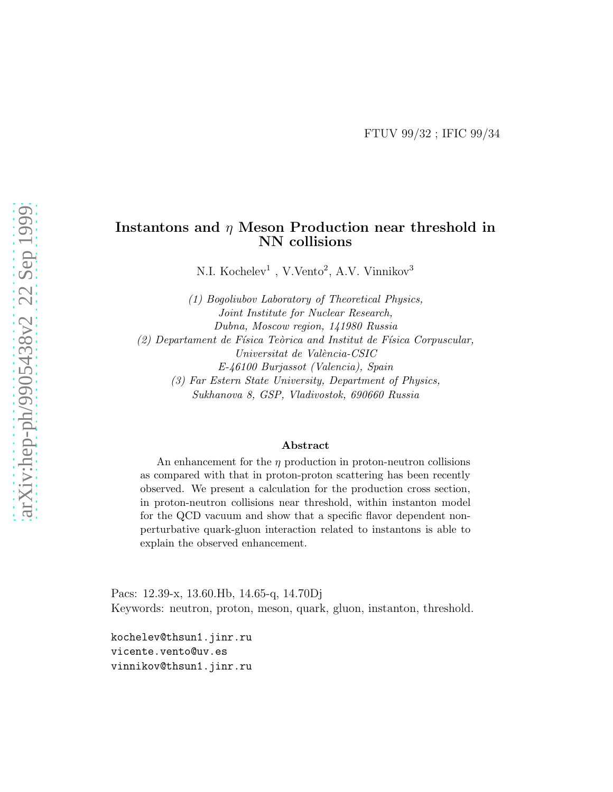#### Instantons and  $\eta$  Meson Production near threshold in NN collisions

N.I. Kochelev<sup>1</sup>, V.Vento<sup>2</sup>, A.V. Vinnikov<sup>3</sup>

(1) Bogoliubov Laboratory of Theoretical Physics, Joint Institute for Nuclear Research, Dubna, Moscow region, 141980 Russia  $(2)$  Departament de Física Teòrica and Institut de Física Corpuscular, Universitat de València-CSIC E-46100 Burjassot (Valencia), Spain (3) Far Estern State University, Department of Physics, Sukhanova 8, GSP, Vladivostok, 690660 Russia

#### Abstract

An enhancement for the  $\eta$  production in proton-neutron collisions as compared with that in proton-proton scattering has been recently observed. We present a calculation for the production cross section, in proton-neutron collisions near threshold, within instanton model for the QCD vacuum and show that a specific flavor dependent nonperturbative quark-gluon interaction related to instantons is able to explain the observed enhancement.

Pacs: 12.39-x, 13.60.Hb, 14.65-q, 14.70Dj Keywords: neutron, proton, meson, quark, gluon, instanton, threshold.

kochelev@thsun1.jinr.ru vicente.vento@uv.es vinnikov@thsun1.jinr.ru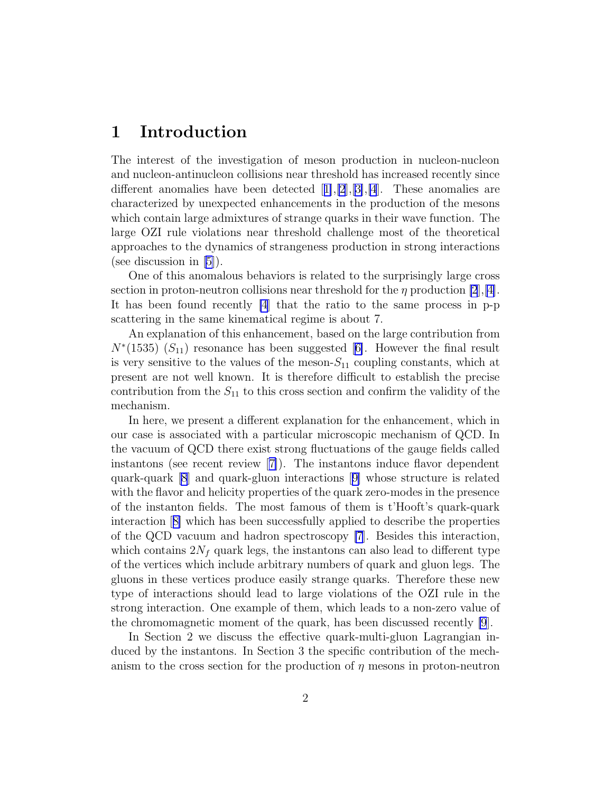## 1 Introduction

The interest of the investigation of meson production in nucleon-nucleon and nucleon-antinucleon collisions near threshold has increased recently since differentanomalies have been detected  $[1],[2],[3],[4]$  $[1],[2],[3],[4]$  $[1],[2],[3],[4]$  $[1],[2],[3],[4]$  $[1],[2],[3],[4]$  $[1],[2],[3],[4]$  $[1],[2],[3],[4]$  $[1],[2],[3],[4]$  $[1],[2],[3],[4]$ . These anomalies are characterized by unexpected enhancements in the production of the mesons which contain large admixtures of strange quarks in their wave function. The large OZI rule violations near threshold challenge most of the theoretical approaches to the dynamics of strangeness production in strong interactions (see discussion in [\[5\]](#page-9-0)).

One of this anomalous behaviors is related to the surprisingly large cross section in proton-neutron collisions near threshold for the  $\eta$  production [\[2](#page-9-0)], [[4\]](#page-9-0). It has been found recently [\[4](#page-9-0)] that the ratio to the same process in p-p scattering in the same kinematical regime is about 7.

An explanation of this enhancement, based on the large contribution from  $N^*(1535)$  $(S_{11})$  resonance has been suggested [[6\]](#page-9-0). However the final result is very sensitive to the values of the meson- $S_{11}$  coupling constants, which at present are not well known. It is therefore difficult to establish the precise contribution from the  $S_{11}$  to this cross section and confirm the validity of the mechanism.

In here, we present a different explanation for the enhancement, which in our case is associated with a particular microscopic mechanism of QCD. In the vacuum of QCD there exist strong fluctuations of the gauge fields called instantons (see recent review[[7\]](#page-9-0)). The instantons induce flavor dependent quark-quark [\[8](#page-10-0)] and quark-gluon interactions[[9\]](#page-10-0) whose structure is related with the flavor and helicity properties of the quark zero-modes in the presence of the instanton fields. The most famous of them is t'Hooft's quark-quark interaction[[8\]](#page-10-0) which has been successfully applied to describe the properties of the QCD vacuum and hadron spectroscopy [\[7](#page-9-0)]. Besides this interaction, which contains  $2N_f$  quark legs, the instantons can also lead to different type of the vertices which include arbitrary numbers of quark and gluon legs. The gluons in these vertices produce easily strange quarks. Therefore these new type of interactions should lead to large violations of the OZI rule in the strong interaction. One example of them, which leads to a non-zero value of the chromomagnetic moment of the quark, has been discussed recently [\[9](#page-10-0)].

In Section 2 we discuss the effective quark-multi-gluon Lagrangian induced by the instantons. In Section 3 the specific contribution of the mechanism to the cross section for the production of  $\eta$  mesons in proton-neutron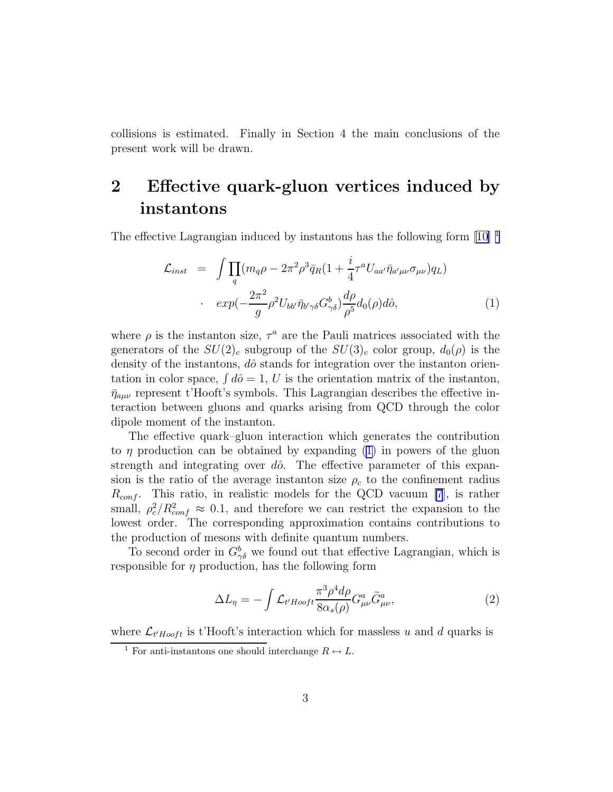<span id="page-2-0"></span>collisions is estimated. Finally in Section 4 the main conclusions of the present work will be drawn.

## 2 Effective quark-gluon vertices induced by instantons

The effective Lagrangian induced by instantons has the following form  $[10]$ <sup>1</sup>

$$
\mathcal{L}_{inst} = \int \prod_{q} (m_q \rho - 2\pi^2 \rho^3 \bar{q}_R (1 + \frac{i}{4} \tau^a U_{aa'} \bar{\eta}_{a'\mu\nu} \sigma_{\mu\nu}) q_L)
$$

$$
\cdot \exp(-\frac{2\pi^2}{g} \rho^2 U_{bb'} \bar{\eta}_{b'\gamma\delta} G^b_{\gamma\delta}) \frac{d\rho}{\rho^5} d_0(\rho) d\hat{o}, \tag{1}
$$

where  $\rho$  is the instanton size,  $\tau^a$  are the Pauli matrices associated with the generators of the  $SU(2)_c$  subgroup of the  $SU(3)_c$  color group,  $d_0(\rho)$  is the density of the instantons,  $d\hat{o}$  stands for integration over the instanton orientation in color space,  $\int d\hat{\theta} = 1, U$  is the orientation matrix of the instanton,  $\bar{\eta}_{a\mu\nu}$  represent t'Hooft's symbols. This Lagrangian describes the effective interaction between gluons and quarks arising from QCD through the color dipole moment of the instanton.

The effective quark–gluon interaction which generates the contribution to  $\eta$  production can be obtained by expanding (1) in powers of the gluon strength and integrating over  $d\hat{o}$ . The effective parameter of this expansion is the ratio of the average instanton size  $\rho_c$  to the confinement radius  $R_{conf.}$  This ratio, in realistic models for the QCD vacuum [\[7](#page-9-0)], is rather small,  $\rho_c^2/R_{conf}^2 \approx 0.1$ , and therefore we can restrict the expansion to the lowest order. The corresponding approximation contains contributions to the production of mesons with definite quantum numbers.

To second order in  $G^b_{\gamma\delta}$  we found out that effective Lagrangian, which is responsible for  $\eta$  production, has the following form

$$
\Delta L_{\eta} = -\int \mathcal{L}_{t'Hooft} \frac{\pi^3 \rho^4 d\rho}{8\alpha_s(\rho)} G^a_{\mu\nu} \tilde{G}^a_{\mu\nu}, \tag{2}
$$

where  $\mathcal{L}_{t'Hooft}$  is t'Hooft's interaction which for massless u and d quarks is

<sup>&</sup>lt;sup>1</sup> For anti-instantons one should interchange  $R \leftrightarrow L$ .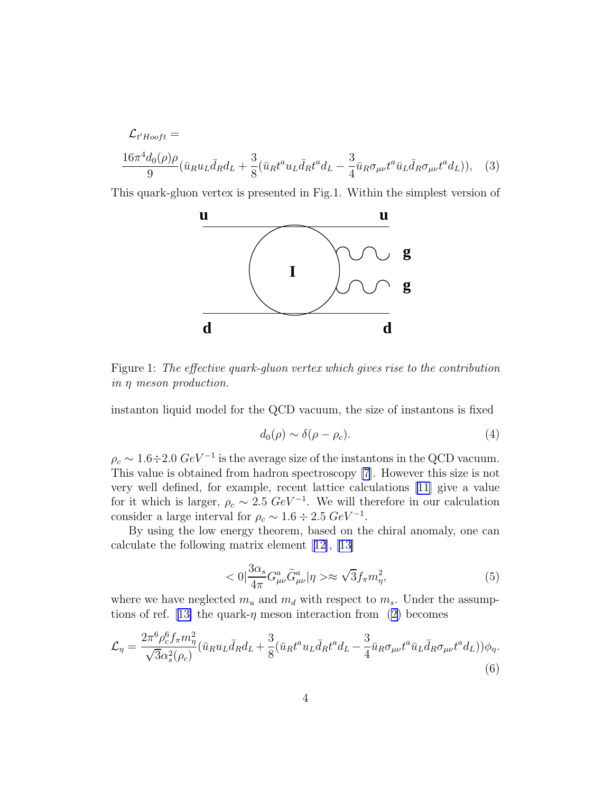<span id="page-3-0"></span>
$$
\mathcal{L}_{t'Hooft} =
$$
  

$$
\frac{16\pi^4 d_0(\rho)\rho}{9} (\bar{u}_R u_L \bar{d}_R d_L + \frac{3}{8} (\bar{u}_R t^a u_L \bar{d}_R t^a d_L - \frac{3}{4} \bar{u}_R \sigma_{\mu\nu} t^a \bar{u}_L \bar{d}_R \sigma_{\mu\nu} t^a d_L)),
$$
 (3)

This quark-gluon vertex is presented in Fig.1. Within the simplest version of



Figure 1: The effective quark-gluon vertex which gives rise to the contribution in η meson production.

instanton liquid model for the QCD vacuum, the size of instantons is fixed

$$
d_0(\rho) \sim \delta(\rho - \rho_c). \tag{4}
$$

 $\rho_c \sim 1.6 \div 2.0 \; GeV^{-1}$  is the average size of the instantons in the QCD vacuum. This value is obtained from hadron spectroscopy [\[7](#page-9-0)]. However this size is not very well defined, for example, recent lattice calculations [\[11](#page-10-0)] give a value for it which is larger,  $\rho_c \sim 2.5 \ GeV^{-1}$ . We will therefore in our calculation consider a large interval for  $\rho_c \sim 1.6 \div 2.5 \ GeV^{-1}$ .

By using the low energy theorem, based on the chiral anomaly, one can calculate the following matrix element[[12\]](#page-10-0), [\[13\]](#page-10-0)

$$
\langle 0|\frac{3\alpha_s}{4\pi}G^a_{\mu\nu}\tilde{G}^a_{\mu\nu}|\eta\rangle \approx \sqrt{3}f_\pi m_\eta^2,\tag{5}
$$

where we have neglected  $m_u$  and  $m_d$  with respect to  $m_s$ . Under the assump-tionsof ref. [[13\]](#page-10-0) the quark- $\eta$  meson interaction from ([2\)](#page-2-0) becomes

$$
\mathcal{L}_{\eta} = \frac{2\pi^6 \rho_c^6 f_\pi m_\eta^2}{\sqrt{3}\alpha_s^2(\rho_c)} (\bar{u}_R u_L \bar{d}_R d_L + \frac{3}{8} (\bar{u}_R t^a u_L \bar{d}_R t^a d_L - \frac{3}{4} \bar{u}_R \sigma_{\mu\nu} t^a \bar{u}_L \bar{d}_R \sigma_{\mu\nu} t^a d_L)) \phi_{\eta}.
$$
\n
$$
(6)
$$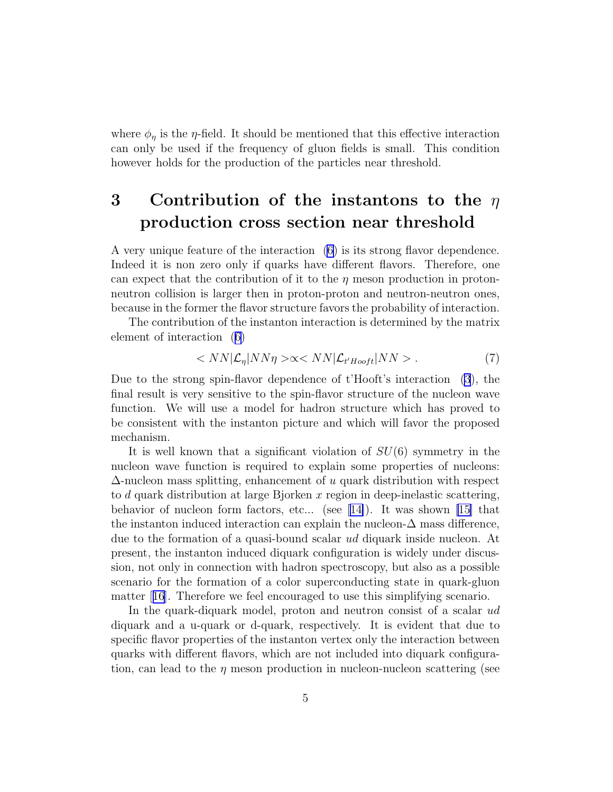<span id="page-4-0"></span>where  $\phi_{\eta}$  is the  $\eta$ -field. It should be mentioned that this effective interaction can only be used if the frequency of gluon fields is small. This condition however holds for the production of the particles near threshold.

# 3 Contribution of the instantons to the  $\eta$ production cross section near threshold

A very unique feature of the interaction [\(6](#page-3-0)) is its strong flavor dependence. Indeed it is non zero only if quarks have different flavors. Therefore, one can expect that the contribution of it to the  $\eta$  meson production in protonneutron collision is larger then in proton-proton and neutron-neutron ones, because in the former the flavor structure favors the probability of interaction.

The contribution of the instanton interaction is determined by the matrix element of interaction ([6\)](#page-3-0)

$$
\langle N N | \mathcal{L}_{\eta} | N N \eta \rangle \propto \langle N N | \mathcal{L}_{t' Hooft} | N N \rangle \,. \tag{7}
$$

Due to the strong spin-flavor dependence of t'Hooft's interaction [\(3](#page-3-0)), the final result is very sensitive to the spin-flavor structure of the nucleon wave function. We will use a model for hadron structure which has proved to be consistent with the instanton picture and which will favor the proposed mechanism.

It is well known that a significant violation of  $SU(6)$  symmetry in the nucleon wave function is required to explain some properties of nucleons:  $\Delta$ -nucleon mass splitting, enhancement of u quark distribution with respect to d quark distribution at large Bjorken x region in deep-inelastic scattering, behaviorof nucleon form factors, etc... (see [[14\]](#page-10-0)). It was shown [\[15\]](#page-10-0) that the instanton induced interaction can explain the nucleon- $\Delta$  mass difference, due to the formation of a quasi-bound scalar ud diquark inside nucleon. At present, the instanton induced diquark configuration is widely under discussion, not only in connection with hadron spectroscopy, but also as a possible scenario for the formation of a color superconducting state in quark-gluon matter[[16](#page-10-0)]. Therefore we feel encouraged to use this simplifying scenario.

In the quark-diquark model, proton and neutron consist of a scalar ud diquark and a u-quark or d-quark, respectively. It is evident that due to specific flavor properties of the instanton vertex only the interaction between quarks with different flavors, which are not included into diquark configuration, can lead to the  $\eta$  meson production in nucleon-nucleon scattering (see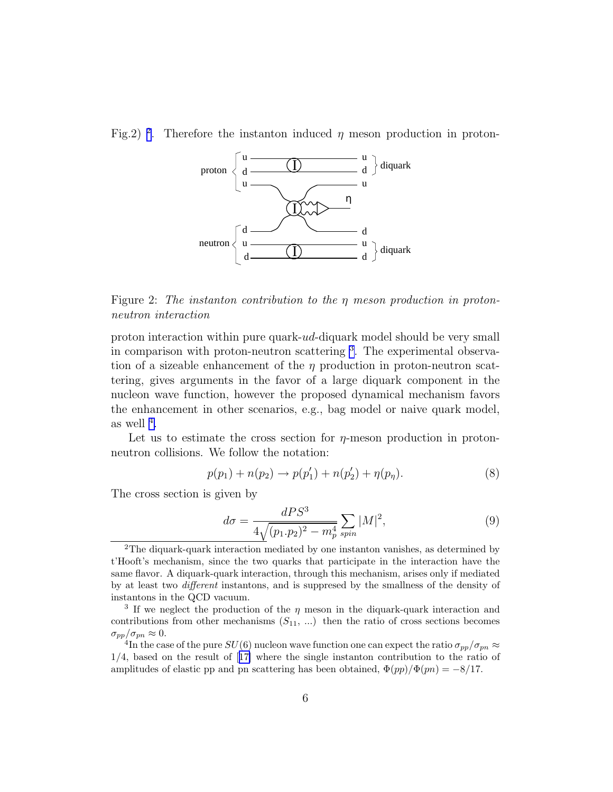<span id="page-5-0"></span>Fig.2)<sup>2</sup>. Therefore the instanton induced  $\eta$  meson production in proton-



Figure 2: The instanton contribution to the η meson production in protonneutron interaction

proton interaction within pure quark-ud-diquark model should be very small in comparison with proton-neutron scattering <sup>3</sup>. The experimental observation of a sizeable enhancement of the  $\eta$  production in proton-neutron scattering, gives arguments in the favor of a large diquark component in the nucleon wave function, however the proposed dynamical mechanism favors the enhancement in other scenarios, e.g., bag model or naive quark model, as well  $^4$ .

Let us to estimate the cross section for  $\eta$ -meson production in protonneutron collisions. We follow the notation:

$$
p(p_1) + n(p_2) \to p(p'_1) + n(p'_2) + \eta(p_\eta). \tag{8}
$$

The cross section is given by

$$
d\sigma = \frac{dPS^3}{4\sqrt{(p_1 \cdot p_2)^2 - m_p^4}} \sum_{spin} |M|^2,
$$
\n(9)

<sup>2</sup>The diquark-quark interaction mediated by one instanton vanishes, as determined by t'Hooft's mechanism, since the two quarks that participate in the interaction have the same flavor. A diquark-quark interaction, through this mechanism, arises only if mediated by at least two different instantons, and is suppresed by the smallness of the density of instantons in the QCD vacuum.

<sup>&</sup>lt;sup>3</sup> If we neglect the production of the  $\eta$  meson in the diquark-quark interaction and contributions from other mechanisms  $(S_{11}, ...)$  then the ratio of cross sections becomes  $\sigma_{pp}/\sigma_{pn} \approx 0.$ 

 $^{4}\text{In the case of the pure }SU(6)$  nucleon wave function one can expect the ratio  $\sigma_{pp}/\sigma_{pn}\approx$ 1/4, based on the result of[[17\]](#page-10-0) where the single instanton contribution to the ratio of amplitudes of elastic pp and pn scattering has been obtained,  $\Phi(pp)/\Phi(pn) = -8/17$ .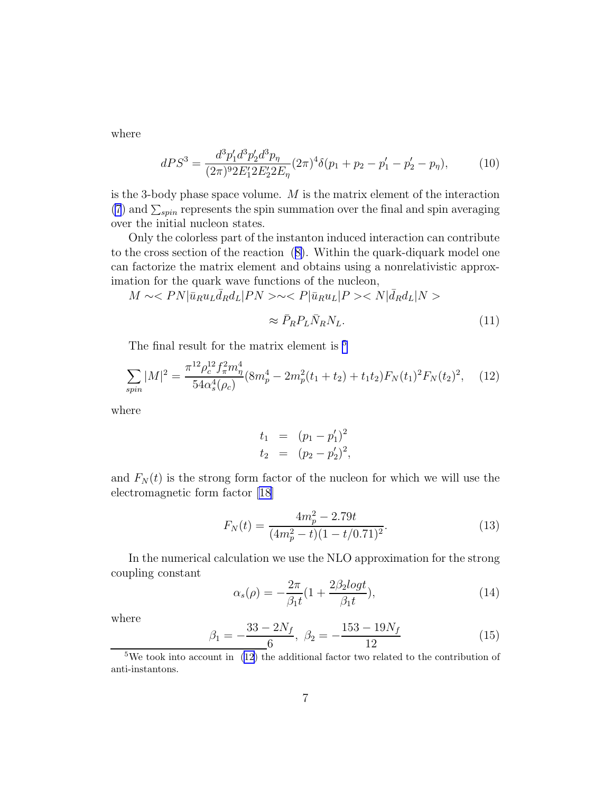where

$$
dPS^3 = \frac{d^3 p'_1 d^3 p'_2 d^3 p_\eta}{(2\pi)^9 2E'_1 2E'_2 2E_\eta} (2\pi)^4 \delta(p_1 + p_2 - p'_1 - p'_2 - p_\eta),\tag{10}
$$

is the 3-body phase space volume. M is the matrix element of the interaction [\(7](#page-4-0)) and  $\sum_{spin}$  represents the spin summation over the final and spin averaging over the initial nucleon states.

Only the colorless part of the instanton induced interaction can contribute to the cross section of the reaction ([8\)](#page-5-0). Within the quark-diquark model one can factorize the matrix element and obtains using a nonrelativistic approximation for the quark wave functions of the nucleon,

$$
M \sim < P N |\bar{u}_R u_L \bar{d}_R d_L | P N > \sim < P |\bar{u}_R u_L | P > < N |\bar{d}_R d_L | N > \\
\approx \bar{P}_R P_L \bar{N}_R N_L. \tag{11}
$$

The final result for the matrix element is  $5$ 

$$
\sum_{spin} |M|^2 = \frac{\pi^{12} \rho_c^{12} f_\pi^2 m_\eta^4}{54 \alpha_s^4 (\rho_c)} (8m_p^4 - 2m_p^2 (t_1 + t_2) + t_1 t_2) F_N(t_1)^2 F_N(t_2)^2, \quad (12)
$$

where

$$
t_1 = (p_1 - p'_1)^2
$$
  
\n
$$
t_2 = (p_2 - p'_2)^2,
$$

and  $F_N(t)$  is the strong form factor of the nucleon for which we will use the electromagnetic form factor [\[18\]](#page-10-0)

$$
F_N(t) = \frac{4m_p^2 - 2.79t}{(4m_p^2 - t)(1 - t/0.71)^2}.
$$
\n(13)

In the numerical calculation we use the NLO approximation for the strong coupling constant

$$
\alpha_s(\rho) = -\frac{2\pi}{\beta_1 t} (1 + \frac{2\beta_2 \log t}{\beta_1 t}),\tag{14}
$$

where

$$
\beta_1 = -\frac{33 - 2N_f}{6}, \ \beta_2 = -\frac{153 - 19N_f}{12} \tag{15}
$$

<sup>5</sup>We took into account in  $(12)$  the additional factor two related to the contribution of anti-instantons.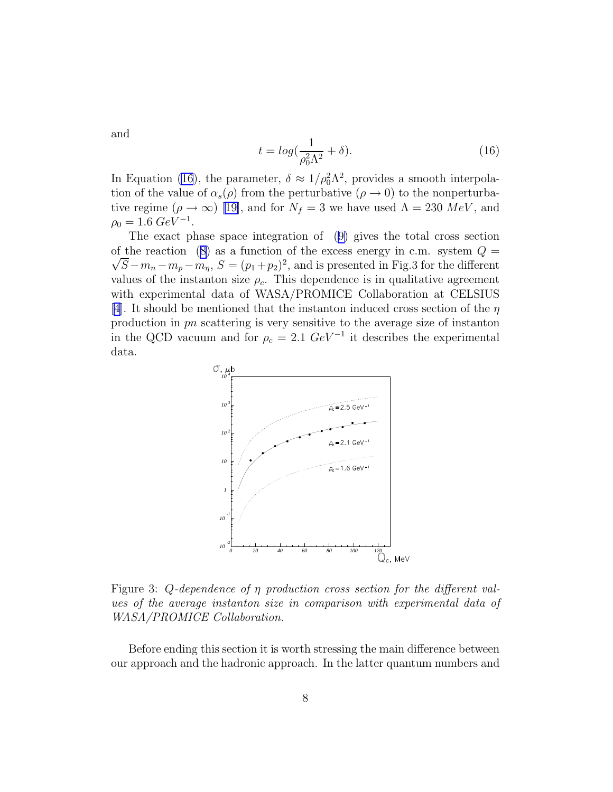and

$$
t = \log(\frac{1}{\rho_0^2 \Lambda^2} + \delta). \tag{16}
$$

In Equation (16), the parameter,  $\delta \approx 1/\rho_0^2 \Lambda^2$ , provides a smooth interpolation of the value of  $\alpha_s(\rho)$  from the perturbative  $(\rho \to 0)$  to the nonperturbative regime  $(\rho \to \infty)$  [\[19\]](#page-10-0), and for  $N_f = 3$  we have used  $\Lambda = 230 \; MeV$ , and  $\rho_0 = 1.6 \; GeV^{-1}.$ 

The exact phase space integration of ([9\)](#page-5-0) gives the total cross section of the reaction [\(8\)](#page-5-0) as a function of the excess energy in c.m. system  $Q =$  $\sqrt{S} - m_n - m_p - m_\eta$ ,  $S = (p_1 + p_2)^2$ , and is presented in Fig.3 for the different values of the instanton size  $\rho_c$ . This dependence is in qualitative agreement with experimental data of WASA/PROMICE Collaboration at CELSIUS [\[4](#page-9-0)]. It should be mentioned that the instanton induced cross section of the  $\eta$ production in pn scattering is very sensitive to the average size of instanton in the QCD vacuum and for  $\rho_c = 2.1 \ GeV^{-1}$  it describes the experimental data.



Figure 3: Q-dependence of  $\eta$  production cross section for the different values of the average instanton size in comparison with experimental data of WASA/PROMICE Collaboration.

Before ending this section it is worth stressing the main difference between our approach and the hadronic approach. In the latter quantum numbers and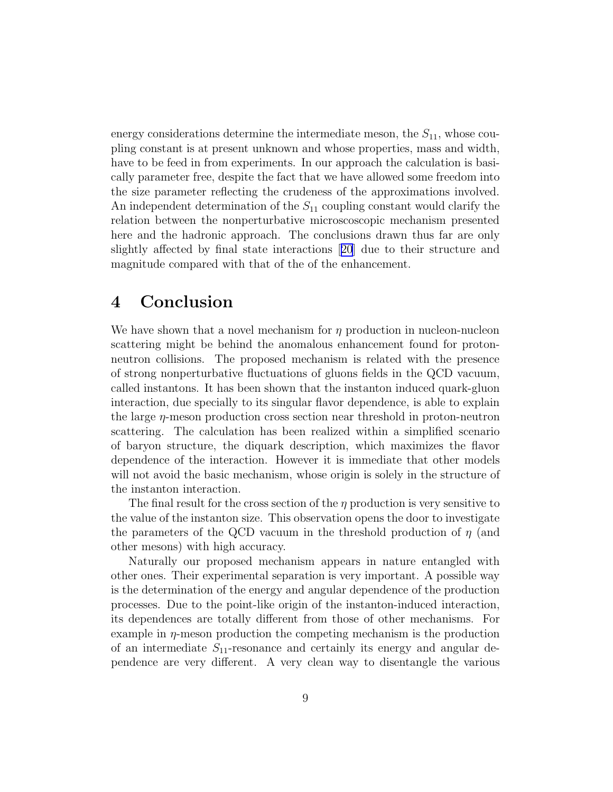energy considerations determine the intermediate meson, the  $S_{11}$ , whose coupling constant is at present unknown and whose properties, mass and width, have to be feed in from experiments. In our approach the calculation is basically parameter free, despite the fact that we have allowed some freedom into the size parameter reflecting the crudeness of the approximations involved. An independent determination of the  $S_{11}$  coupling constant would clarify the relation between the nonperturbative microscoscopic mechanism presented here and the hadronic approach. The conclusions drawn thus far are only slightly affected by final state interactions[[20](#page-10-0)] due to their structure and magnitude compared with that of the of the enhancement.

## 4 Conclusion

We have shown that a novel mechanism for  $\eta$  production in nucleon-nucleon scattering might be behind the anomalous enhancement found for protonneutron collisions. The proposed mechanism is related with the presence of strong nonperturbative fluctuations of gluons fields in the QCD vacuum, called instantons. It has been shown that the instanton induced quark-gluon interaction, due specially to its singular flavor dependence, is able to explain the large  $\eta$ -meson production cross section near threshold in proton-neutron scattering. The calculation has been realized within a simplified scenario of baryon structure, the diquark description, which maximizes the flavor dependence of the interaction. However it is immediate that other models will not avoid the basic mechanism, whose origin is solely in the structure of the instanton interaction.

The final result for the cross section of the  $\eta$  production is very sensitive to the value of the instanton size. This observation opens the door to investigate the parameters of the QCD vacuum in the threshold production of  $\eta$  (and other mesons) with high accuracy.

Naturally our proposed mechanism appears in nature entangled with other ones. Their experimental separation is very important. A possible way is the determination of the energy and angular dependence of the production processes. Due to the point-like origin of the instanton-induced interaction, its dependences are totally different from those of other mechanisms. For example in  $\eta$ -meson production the competing mechanism is the production of an intermediate  $S_{11}$ -resonance and certainly its energy and angular dependence are very different. A very clean way to disentangle the various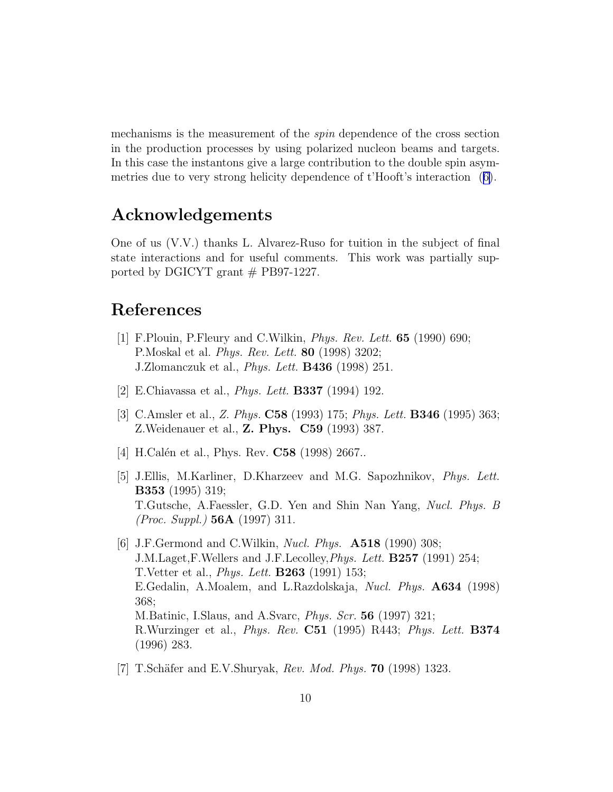<span id="page-9-0"></span>mechanisms is the measurement of the spin dependence of the cross section in the production processes by using polarized nucleon beams and targets. In this case the instantons give a large contribution to the double spin asymmetries due to very strong helicity dependence of t'Hooft's interaction ([6\)](#page-3-0).

## Acknowledgements

One of us (V.V.) thanks L. Alvarez-Ruso for tuition in the subject of final state interactions and for useful comments. This work was partially supported by DGICYT grant  $#$  PB97-1227.

## References

- [1] F.Plouin, P.Fleury and C.Wilkin, Phys. Rev. Lett. 65 (1990) 690; P.Moskal et al. Phys. Rev. Lett. 80 (1998) 3202; J.Zlomanczuk et al., Phys. Lett. B436 (1998) 251.
- [2] E.Chiavassa et al., Phys. Lett. B337 (1994) 192.
- [3] C.Amsler et al., Z. Phys. C58 (1993) 175; Phys. Lett. B346 (1995) 363; Z.Weidenauer et al., Z. Phys. C59 (1993) 387.
- [4] H.Calén et al., Phys. Rev. **C58** (1998) 2667...
- [5] J.Ellis, M.Karliner, D.Kharzeev and M.G. Sapozhnikov, Phys. Lett. B353 (1995) 319; T.Gutsche, A.Faessler, G.D. Yen and Shin Nan Yang, Nucl. Phys. B (Proc. Suppl.) 56A (1997) 311.
- [6] J.F.Germond and C.Wilkin, *Nucl. Phys.* **A518** (1990) 308; J.M.Laget,F.Wellers and J.F.Lecolley,Phys. Lett. B257 (1991) 254; T.Vetter et al., Phys. Lett. B263 (1991) 153; E.Gedalin, A.Moalem, and L.Razdolskaja, Nucl. Phys. A634 (1998) 368; M.Batinic, I.Slaus, and A.Svarc, Phys. Scr. 56 (1997) 321; R.Wurzinger et al., Phys. Rev. C51 (1995) R443; Phys. Lett. B374 (1996) 283.
- [7] T.Schäfer and E.V.Shuryak, Rev. Mod. Phys. **70** (1998) 1323.